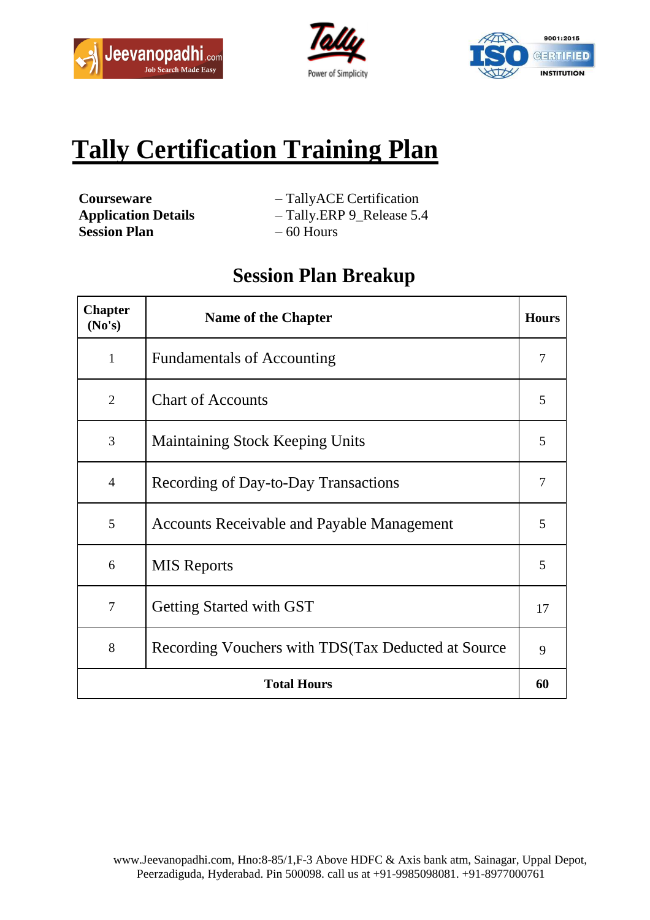





# **Tally Certification Training Plan**

**Session Plan** – 60 Hours

- **Courseware** TallyACE Certification
- **Application Details** Tally.ERP 9\_Release 5.4
	-

## **Session Plan Breakup**

| <b>Chapter</b><br>(No's) | <b>Name of the Chapter</b>                           | <b>Hours</b> |
|--------------------------|------------------------------------------------------|--------------|
| $\mathbf{1}$             | <b>Fundamentals of Accounting</b>                    | 7            |
| $\overline{2}$           | <b>Chart of Accounts</b>                             | 5            |
| 3                        | <b>Maintaining Stock Keeping Units</b>               | 5            |
| $\overline{4}$           | Recording of Day-to-Day Transactions                 | 7            |
| 5                        | <b>Accounts Receivable and Payable Management</b>    | 5            |
| 6                        | <b>MIS</b> Reports                                   | 5            |
| $\overline{7}$           | <b>Getting Started with GST</b>                      | 17           |
| 8                        | Recording Vouchers with TDS (Tax Deducted at Source) | 9            |
| <b>Total Hours</b>       |                                                      | 60           |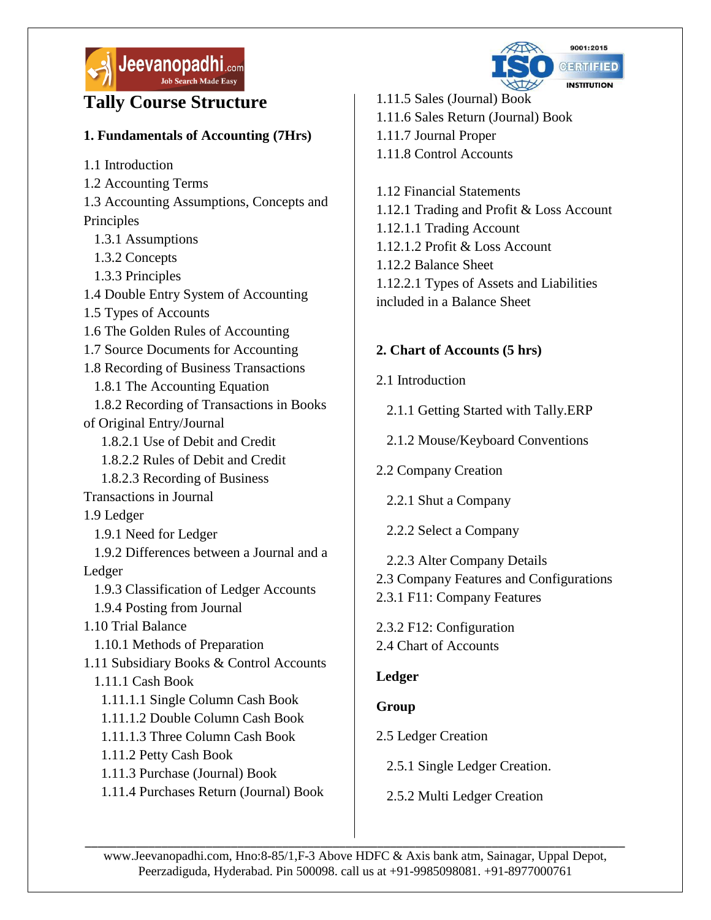

## **Tally Course Structure**

#### **1. Fundamentals of Accounting (7Hrs)**

[1.1 Introduction](javascript:void(0))

[1.2 Accounting Terms](javascript:void(0)) 

1.3 Accounting Assumptions, Concepts and Principles

- [1.3.1 Assumptions](javascript:void(0))
- [1.3.2 Concepts](javascript:void(0))
- [1.3.3 Principles](javascript:void(0))
- [1.4 Double Entry System of Accounting](javascript:void(0))
- [1.5 Types of Accounts](javascript:void(0))
- [1.6 The Golden Rules of Accounting](javascript:void(0))
- [1.7 Source Documents for Accounting](javascript:void(0))
- [1.8 Recording of Business Transactions](javascript:void(0))
- [1.8.1 The Accounting Equation](javascript:void(0))

 [1.8.2 Recording of Transactions in Books](javascript:void(0))  [of Original Entry/Journal](javascript:void(0)) 

- [1.8.2.1 Use of Debit and Credit](javascript:void(0))
- [1.8.2.2 Rules of Debit and Credit](javascript:void(0))
- [1.8.2.3 Recording of Business](javascript:void(0))
- [Transactions in Journal](javascript:void(0))

[1.9 Ledger](javascript:void(0)) 

- [1.9.1 Need for Ledger](javascript:void(0))
- [1.9.2 Differences between a Journal and a](javascript:void(0))  [Ledger](javascript:void(0)) 
	- [1.9.3 Classification of Ledger Accounts](javascript:void(0))
- [1.9.4 Posting from Journal](javascript:void(0))
- 1.10 Trial Balance
- 1.10.1 Methods of Preparation

[1.11 Subsidiary Books & Control Accounts](javascript:void(0))  [1.11.1 Cash Book](javascript:void(0)) 

- [1.11.1.1 Single Column Cash Book](javascript:void(0))
- [1.11.1.2 Double Column Cash Book](javascript:void(0))
- [1.11.1.3 Three Column Cash Book](javascript:void(0))
- [1.11.2 Petty Cash Book](javascript:void(0))
- 1.11.3 Purchase (Journal) Book
- [1.11.4 Purchases Return \(Journal\) Book](javascript:void(0))



- [1.11.5 Sales \(Journal\) Book](javascript:void(0))  [1.11.6 Sales Return \(Journal\) Book](javascript:void(0)) [1.11.7 Journal Proper](javascript:void(0))  [1.11.8 Control Accounts](javascript:void(0))
- [1.12 Financial Statements](javascript:void(0))  [1.12.1 Trading and Profit & Loss Account](javascript:void(0))  [1.12.1.1 Trading Account](javascript:void(0))  [1.12.1.2 Profit &](javascript:void(0)) Loss Account [1.12.2 Balance Sheet](javascript:void(0))  [1.12.2.1 Types of Assets and Liabilities](javascript:void(0))  [included in a Balance Sheet](javascript:void(0))

#### **2. Chart of Accounts (5 hrs)**

- [2.1 Introduction](javascript:void(0)) 
	- [2.1.1 Getting Started with Tally.ERP](javascript:void(0))
	- [2.1.2 Mouse/Keyboard Conventions](javascript:void(0))
- [2.2 Company Creation](javascript:void(0)) 
	- [2.2.1 Shut a Company](javascript:void(0))
	- 2.2.2 Select a Company
- [2.2.3 Alter Company Details](javascript:void(0))
- [2.3 Company Features and Configurations](javascript:void(0))
- [2.3.1 F11: Company Features](javascript:void(0))
- [2.3.2 F12: Configuration](javascript:void(0))
- [2.4 Chart of Accounts](javascript:void(0))

#### **Ledger**

#### **[Group](javascript:void(0))**

- [2.5 Ledger Creation](javascript:void(0)) 
	- [2.5.1 Single Ledger Creation.](javascript:void(0))
	- [2.5.2 Multi Ledger Creation](javascript:void(0))

\_\_\_\_\_\_\_\_\_\_\_\_\_\_\_\_\_\_\_\_\_\_\_\_\_\_\_\_\_\_\_\_\_\_\_\_\_\_\_\_\_\_\_\_\_\_\_\_\_\_\_\_\_\_\_\_\_\_\_\_\_\_\_\_\_\_\_\_\_\_\_\_\_\_\_\_\_\_\_\_\_\_\_\_\_ www.Jeevanopadhi.com, Hno:8-85/1,F-3 Above HDFC & Axis bank atm, Sainagar, Uppal Depot, Peerzadiguda, Hyderabad. Pin 500098. call us at +91-9985098081. +91-8977000761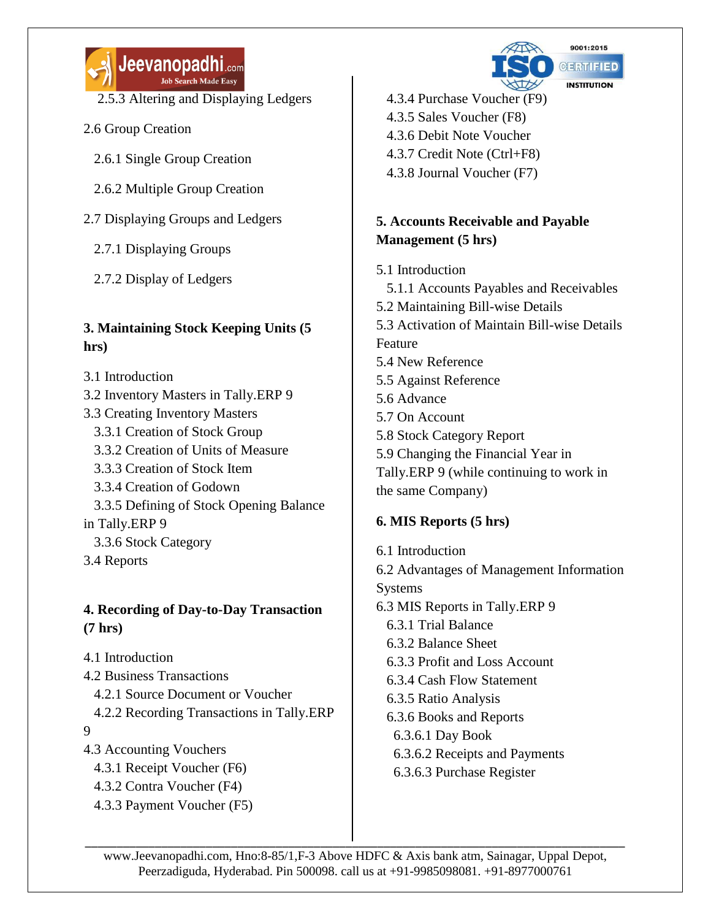

[2.5.3 Altering and Displaying Ledgers](javascript:void(0)) 

- [2.6 Group Creation](javascript:void(0)) 
	- [2.6.1 Single Group Creation](javascript:void(0))
	- [2.6.2 Multiple Group Creation](javascript:void(0))
- [2.7 Displaying Groups and Ledgers](javascript:void(0)) 
	- [2.7.1 Displaying Groups](javascript:void(0))
	- [2.7.2 Display of Ledgers](javascript:void(0))

#### **3. Maintaining Stock Keeping Units (5 hrs)**

- [3.1 Introduction](javascript:void(0))
- [3.2 Inventory Masters in Tally.ERP 9](javascript:void(0))
- [3.3 Creating Inventory Masters](javascript:void(0)) 
	- [3.3.1 Creation of Stock Group](javascript:void(0))
	- [3.3.2 Creation of Units of Measure](javascript:void(0))
	- [3.3.3 Creation of Stock Item](javascript:void(0))
	- [3.3.4 Creation of Godown](javascript:void(0))
- [3.3.5 Defining of Stock Opening Balance](javascript:void(0))  [in Tally.ERP 9](javascript:void(0)) 
	- [3.3.6 Stock Category](javascript:void(0))
- [3.4 Reports](javascript:void(0))

#### **4. Recording of Day-to-Day Transaction (7 hrs)**

- [4.1 Introduction](javascript:void(0))
- [4.2 Business Transactions](javascript:void(0))
- [4.2.1 Source Document or Voucher](javascript:void(0))
- [4.2.2 Recording Transactions in Tally.ERP](javascript:void(0))
- [9](javascript:void(0))
- [4.3 Accounting Vouchers](javascript:void(0)) 
	- [4.3.1 Receipt Voucher \(F6\)](javascript:void(0))
	- [4.3.2 Contra Voucher \(F4\)](javascript:void(0))
	- [4.3.3 Payment Voucher \(F5\)](javascript:void(0))



 [4.3.4 Purchase Voucher \(F9\)](javascript:void(0))  [4.3.5 Sales Voucher \(F8\)](javascript:void(0))  [4.3.6 Debit Note Voucher](javascript:void(0))  [4.3.7 Credit Note \(Ctrl+F8\)](javascript:void(0)) [4.3.8 Journal Voucher \(F7\)](javascript:void(0))

#### **5. Accounts Receivable and Payable Management (5 hrs)**

- [5.1 Introduction](javascript:void(0))
- [5.1.1 Accounts Payables and Receivables](javascript:void(0))  [5.2 Maintaining Bill-wise Details](javascript:void(0))

[5.3 Activation of Maintain Bill-wise Details](javascript:void(0))  [Feature](javascript:void(0)) 

- [5.4 New Reference](javascript:void(0))
- [5.5 Against Reference](javascript:void(0))
- [5.6 Advance](javascript:void(0))
- [5.7 On Account](javascript:void(0))
- [5.8 Stock Category Report](javascript:void(0))
- [5.9 Changing the Financial Year in](javascript:void(0))
- [Tally.ERP 9 \(while continuing to work in](javascript:void(0))  [the same Company\)](javascript:void(0))

### **6. MIS Reports (5 hrs)**

[6.1 Introduction](javascript:void(0))  [6.2 Advantages of Management Information](javascript:void(0))  [Systems](javascript:void(0))  [6.3 MIS Reports in Tally.ERP 9](javascript:void(0))  [6.3.1 Trial Balance](javascript:void(0))  [6.3.2 Balance Sheet](javascript:void(0))  [6.3.3 Profit and Loss Account](javascript:void(0))  [6.3.4 Cash Flow Statement](javascript:void(0))  6.3.5 Ratio Analysis [6.3.6 Books and Reports](javascript:void(0))  [6.3.6.1 Day Book](javascript:void(0))  [6.3.6.2 Receipts and Payments](javascript:void(0))  [6.3.6.3 Purchase Register](javascript:void(0)) 

\_\_\_\_\_\_\_\_\_\_\_\_\_\_\_\_\_\_\_\_\_\_\_\_\_\_\_\_\_\_\_\_\_\_\_\_\_\_\_\_\_\_\_\_\_\_\_\_\_\_\_\_\_\_\_\_\_\_\_\_\_\_\_\_\_\_\_\_\_\_\_\_\_\_\_\_\_\_\_\_\_\_\_\_\_ www.Jeevanopadhi.com, Hno:8-85/1,F-3 Above HDFC & Axis bank atm, Sainagar, Uppal Depot, Peerzadiguda, Hyderabad. Pin 500098. call us at +91-9985098081. +91-8977000761